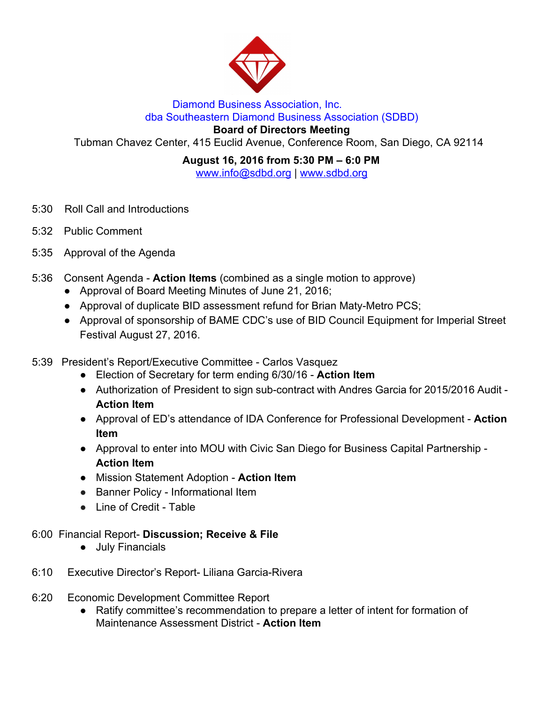

## Diamond Business Association, Inc. dba Southeastern Diamond Business Association (SDBD)

**Board of Directors Meeting**

Tubman Chavez Center, 415 Euclid Avenue, Conference Room, San Diego, CA 92114

**August 16, 2016 from 5:30 PM – 6:0 PM** www.info@sdbd.org | [www.sdbd.org](http://www.sdbd.org/)

- 5:30 Roll Call and Introductions
- 5:32 Public Comment
- 5:35 Approval of the Agenda
- 5:36 Consent Agenda **Action Items** (combined as a single motion to approve)
	- Approval of Board Meeting Minutes of June 21, 2016;
	- Approval of duplicate BID assessment refund for Brian Maty-Metro PCS;
	- Approval of sponsorship of BAME CDC's use of BID Council Equipment for Imperial Street Festival August 27, 2016.
- 5:39 President's Report/Executive Committee Carlos Vasquez
	- Election of Secretary for term ending 6/30/16 **Action Item**
	- Authorization of President to sign sub-contract with Andres Garcia for 2015/2016 Audit **Action Item**
	- Approval of ED's attendance of IDA Conference for Professional Development **Action Item**
	- Approval to enter into MOU with Civic San Diego for Business Capital Partnership **Action Item**
	- Mission Statement Adoption **Action Item**
	- **●** Banner Policy Informational Item
	- **●** Line of Credit Table

## 6:00 Financial Report- **Discussion; Receive & File**

- **●** July Financials
- 6:10 Executive Director's Report- Liliana Garcia-Rivera
- 6:20 Economic Development Committee Report
	- Ratify committee's recommendation to prepare a letter of intent for formation of Maintenance Assessment District - **Action Item**